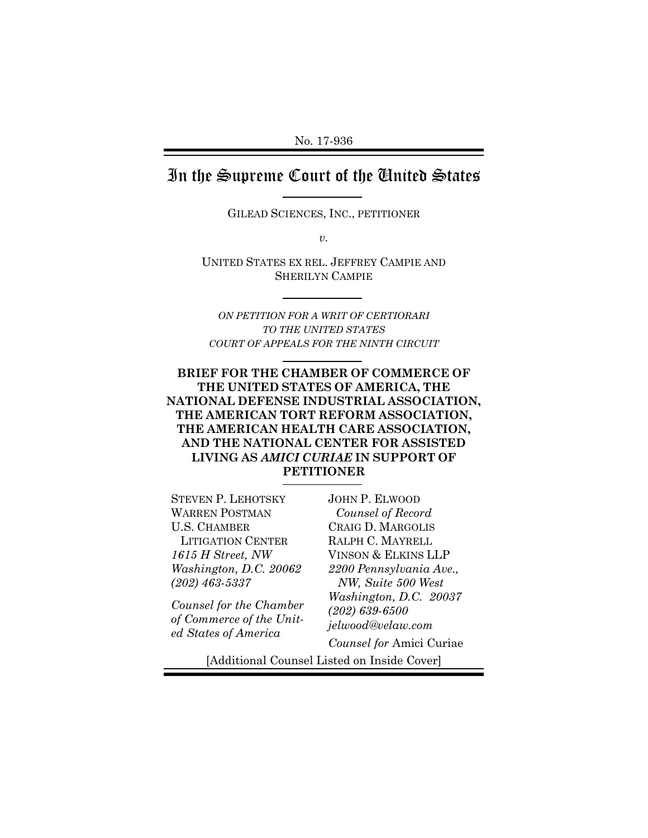## In the Supreme Court of the United States

GILEAD SCIENCES, INC., PETITIONER

*v.* 

UNITED STATES EX REL. JEFFREY CAMPIE AND SHERILYN CAMPIE

*ON PETITION FOR A WRIT OF CERTIORARI TO THE UNITED STATES COURT OF APPEALS FOR THE NINTH CIRCUIT*

### **BRIEF FOR THE CHAMBER OF COMMERCE OF THE UNITED STATES OF AMERICA, THE NATIONAL DEFENSE INDUSTRIAL ASSOCIATION, THE AMERICAN TORT REFORM ASSOCIATION, THE AMERICAN HEALTH CARE ASSOCIATION, AND THE NATIONAL CENTER FOR ASSISTED LIVING AS** *AMICI CURIAE* **IN SUPPORT OF PETITIONER**

STEVEN P. LEHOTSKY WARREN POSTMAN U.S. CHAMBER LITIGATION CENTER *1615 H Street, NW Washington, D.C. 20062 (202) 463-5337* 

*Counsel for the Chamber of Commerce of the United States of America*

JOHN P. ELWOOD *Counsel of Record* CRAIG D. MARGOLIS RALPH C. MAYRELL VINSON & ELKINS LLP *2200 Pennsylvania Ave., NW, Suite 500 West Washington, D.C. 20037 (202) 639-6500 jelwood@velaw.com* 

*Counsel for* Amici Curiae

[Additional Counsel Listed on Inside Cover]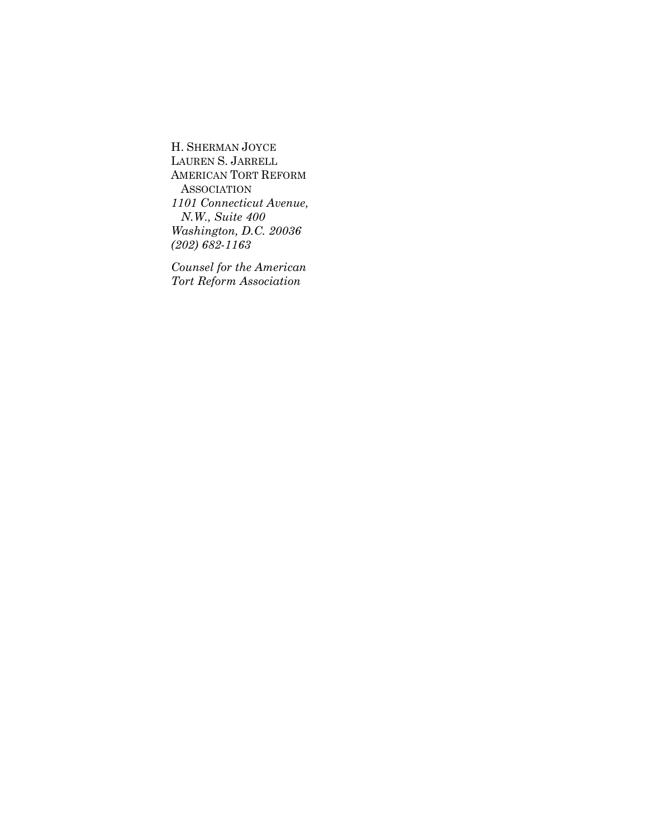H. SHERMAN JOYCE LAUREN S. JARRELL AMERICAN TORT REFORM **ASSOCIATION** *1101 Connecticut Avenue, N.W., Suite 400 Washington, D.C. 20036 (202) 682-1163* 

*Counsel for the American Tort Reform Association*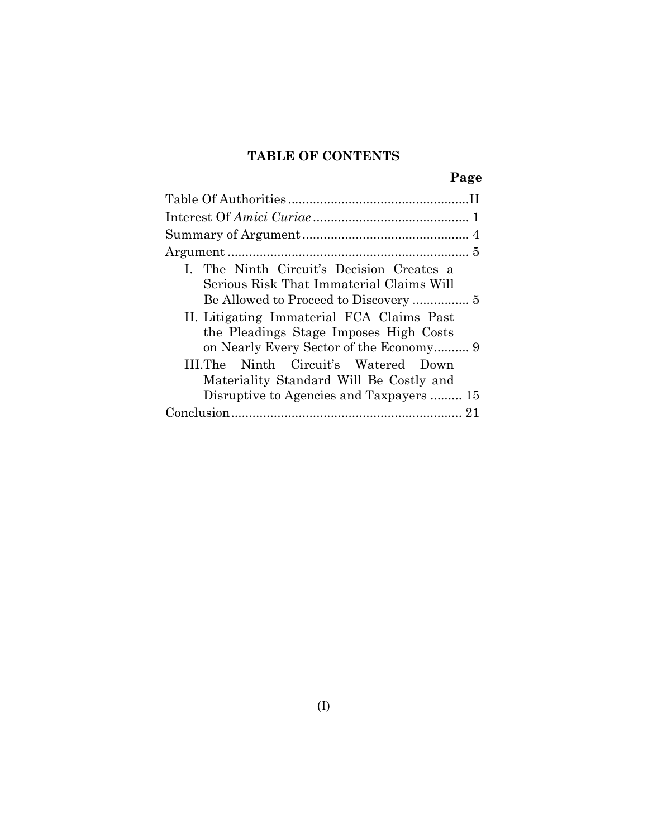## **TABLE OF CONTENTS**

|--|

| I. The Ninth Circuit's Decision Creates a  |
|--------------------------------------------|
| Serious Risk That Immaterial Claims Will   |
|                                            |
| II. Litigating Immaterial FCA Claims Past  |
| the Pleadings Stage Imposes High Costs     |
|                                            |
| III. The Ninth Circuit's Watered Down      |
| Materiality Standard Will Be Costly and    |
| Disruptive to Agencies and Taxpayers<br>15 |
|                                            |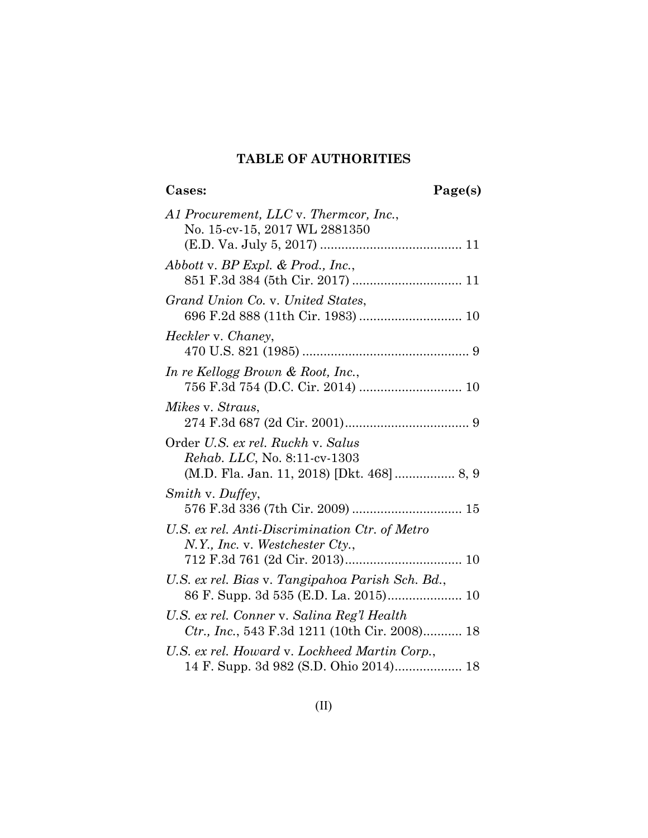## **TABLE OF AUTHORITIES**

**Cases: Page(s)**

| A1 Procurement, LLC v. Thermcor, Inc.,                                                                                |
|-----------------------------------------------------------------------------------------------------------------------|
| No. 15-cv-15, 2017 WL 2881350                                                                                         |
| Abbott v. BP Expl. & Prod., Inc.,<br>851 F.3d 384 (5th Cir. 2017)  11                                                 |
| Grand Union Co. v. United States,                                                                                     |
| Heckler v. Chaney,                                                                                                    |
| In re Kellogg Brown & Root, Inc.,                                                                                     |
| Mikes v. Straus,                                                                                                      |
| Order U.S. ex rel. Ruckh v. Salus<br><i>Rehab. LLC, No. 8:11-cv-1303</i><br>(M.D. Fla. Jan. 11, 2018) [Dkt. 468] 8, 9 |
| Smith v. Duffey,<br>576 F.3d 336 (7th Cir. 2009)  15                                                                  |
| U.S. ex rel. Anti-Discrimination Ctr. of Metro<br>$N.Y.,$ Inc. v. Westchester Cty.,                                   |
| U.S. ex rel. Bias v. Tangipahoa Parish Sch. Bd.,<br>86 F. Supp. 3d 535 (E.D. La. 2015) 10                             |
| U.S. ex rel. Conner v. Salina Reg'l Health<br>Ctr., Inc., 543 F.3d 1211 (10th Cir. 2008) 18                           |
| U.S. ex rel. Howard v. Lockheed Martin Corp.,<br>14 F. Supp. 3d 982 (S.D. Ohio 2014) 18                               |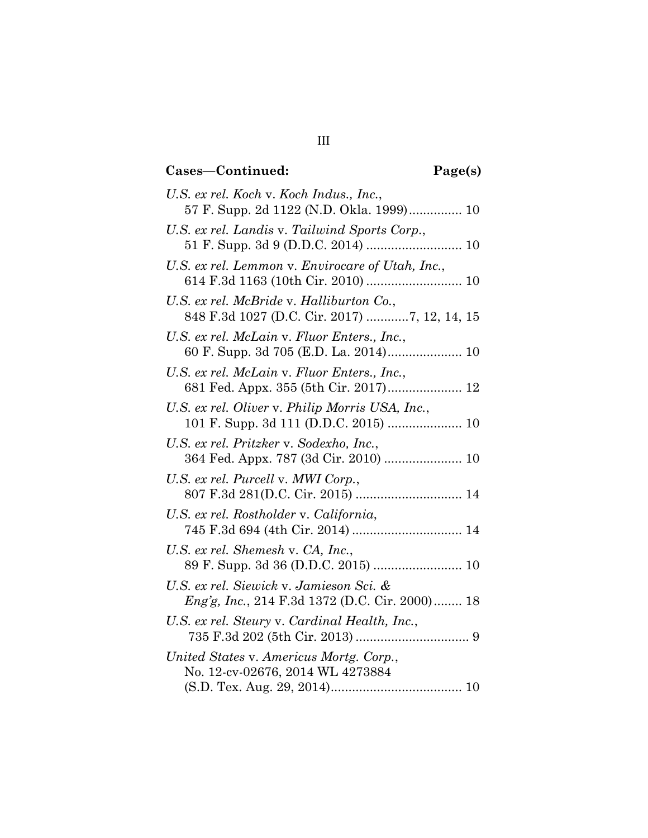# **Cases—Continued: Page(s)**

| U.S. ex rel. Koch v. Koch Indus., Inc.,<br>57 F. Supp. 2d 1122 (N.D. Okla. 1999) 10              |
|--------------------------------------------------------------------------------------------------|
| U.S. ex rel. Landis v. Tailwind Sports Corp.,                                                    |
| U.S. ex rel. Lemmon v. Envirocare of Utah, Inc.,                                                 |
| U.S. ex rel. McBride v. Halliburton Co.,                                                         |
| U.S. ex rel. McLain v. Fluor Enters., Inc.,                                                      |
| U.S. ex rel. McLain v. Fluor Enters., Inc.,<br>681 Fed. Appx. 355 (5th Cir. 2017) 12             |
| U.S. ex rel. Oliver v. Philip Morris USA, Inc.,                                                  |
| U.S. ex rel. Pritzker v. Sodexho, Inc.,<br>364 Fed. Appx. 787 (3d Cir. 2010)  10                 |
| U.S. ex rel. Purcell v. MWI Corp.,                                                               |
| U.S. ex rel. Rostholder v. California,                                                           |
| U.S. ex rel. Shemesh v. CA, Inc.,<br>89 F. Supp. 3d 36 (D.D.C. 2015)  10                         |
| U.S. ex rel. Siewick v. Jamieson Sci. &<br><i>Eng'g, Inc., 214 F.3d 1372 (D.C. Cir. 2000)</i> 18 |
| U.S. ex rel. Steury v. Cardinal Health, Inc.,                                                    |
| United States v. Americus Mortg. Corp.,<br>No. 12-cv-02676, 2014 WL 4273884                      |
|                                                                                                  |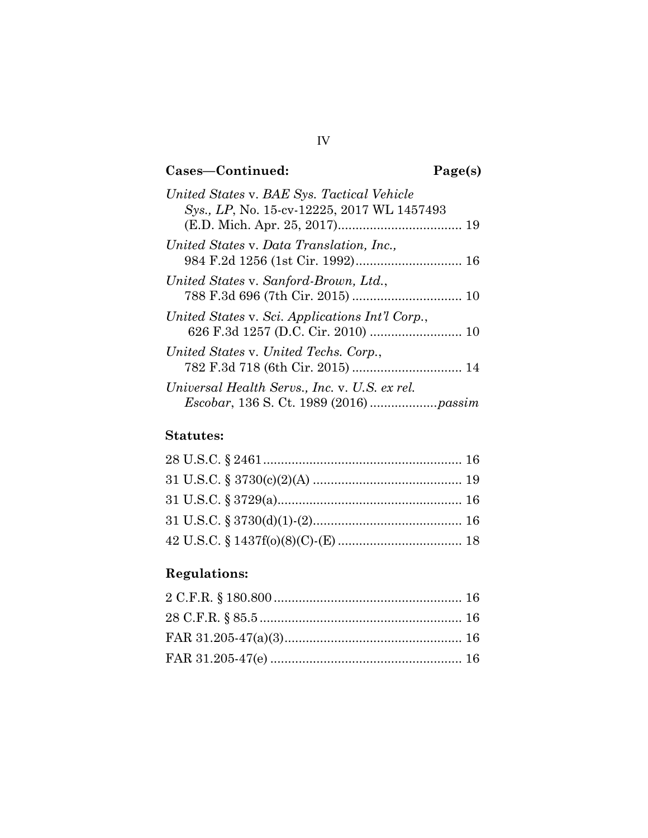# **Cases—Continued: Page(s)**

| United States v. BAE Sys. Tactical Vehicle      |
|-------------------------------------------------|
| Sys., LP, No. 15-cv-12225, 2017 WL 1457493      |
| United States v. Data Translation, Inc.,        |
|                                                 |
| United States v. Sanford-Brown, Ltd.,           |
| United States v. Sci. Applications Int'l Corp., |
| United States v. United Techs. Corp.,           |
| Universal Health Servs., Inc. v. U.S. ex rel.   |

## **Statutes:**

# **Regulations:**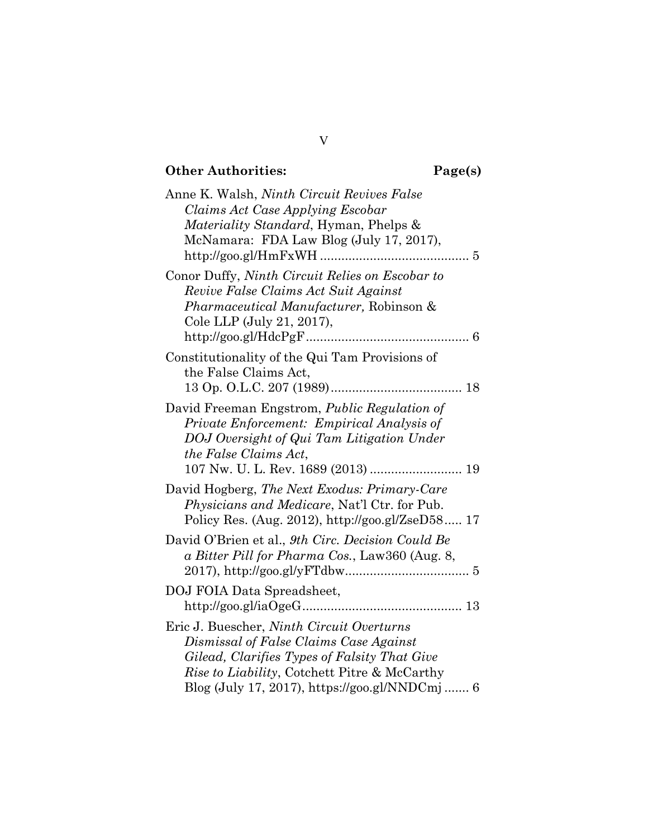# **Other Authorities: Page(s)**

| Anne K. Walsh, <i>Ninth Circuit Revives False</i>                                       |
|-----------------------------------------------------------------------------------------|
| Claims Act Case Applying Escobar                                                        |
| <i>Materiality Standard</i> , Hyman, Phelps &                                           |
| McNamara: FDA Law Blog (July 17, 2017),                                                 |
|                                                                                         |
| Conor Duffy, Ninth Circuit Relies on Escobar to<br>Revive False Claims Act Suit Against |
| <i>Pharmaceutical Manufacturer</i> , Robinson &                                         |
| Cole LLP (July 21, 2017),                                                               |
|                                                                                         |
|                                                                                         |
| Constitutionality of the Qui Tam Provisions of                                          |
| the False Claims Act,                                                                   |
|                                                                                         |
| David Freeman Engstrom, Public Regulation of                                            |
| Private Enforcement: Empirical Analysis of                                              |
| DOJ Oversight of Qui Tam Litigation Under                                               |
| the False Claims Act,                                                                   |
|                                                                                         |
| David Hogberg, The Next Exodus: Primary-Care                                            |
| <i>Physicians and Medicare, Nat'l Ctr. for Pub.</i>                                     |
| Policy Res. (Aug. 2012), http://goo.gl/ZseD58 17                                        |
|                                                                                         |
| David O'Brien et al., 9th Circ. Decision Could Be                                       |
| a Bitter Pill for Pharma Cos., Law360 (Aug. 8,                                          |
|                                                                                         |
| DOJ FOIA Data Spreadsheet,                                                              |
|                                                                                         |
| Eric J. Buescher, Ninth Circuit Overturns                                               |
| Dismissal of False Claims Case Against                                                  |
| Gilead, Clarifies Types of Falsity That Give                                            |
| Rise to Liability, Cotchett Pitre & McCarthy                                            |
| Blog (July 17, 2017), https://goo.gl/NNDCmj  6                                          |

## V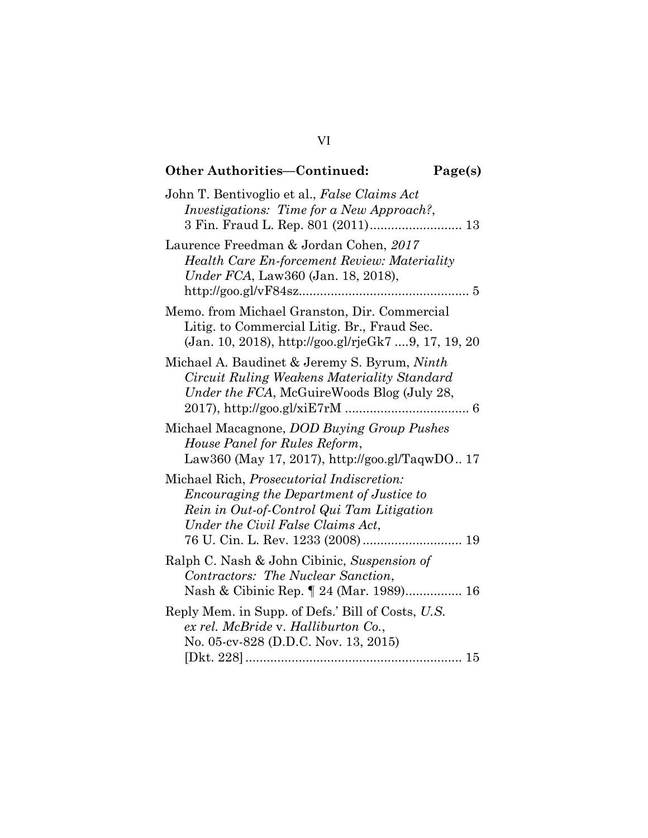| <b>Other Authorities-Continued:</b>                                                                                                                                             | Page(s) |
|---------------------------------------------------------------------------------------------------------------------------------------------------------------------------------|---------|
| John T. Bentivoglio et al., False Claims Act<br><i>Investigations: Time for a New Approach?</i> ,                                                                               |         |
| Laurence Freedman & Jordan Cohen, 2017<br><b>Health Care En-forcement Review: Materiality</b><br>Under FCA, Law360 (Jan. 18, 2018),                                             |         |
| Memo. from Michael Granston, Dir. Commercial<br>Litig. to Commercial Litig. Br., Fraud Sec.<br>(Jan. 10, 2018), http://goo.gl/rjeGk7 9, 17, 19, 20                              |         |
| Michael A. Baudinet & Jeremy S. Byrum, Ninth<br>Circuit Ruling Weakens Materiality Standard<br>Under the FCA, McGuireWoods Blog (July 28,                                       |         |
| Michael Macagnone, <i>DOD Buying Group Pushes</i><br>House Panel for Rules Reform,<br>Law360 (May 17, 2017), http://goo.gl/TaqwDO 17                                            |         |
| Michael Rich, <i>Prosecutorial Indiscretion</i> :<br>Encouraging the Department of Justice to<br>Rein in Out-of-Control Qui Tam Litigation<br>Under the Civil False Claims Act, |         |
| Ralph C. Nash & John Cibinic, Suspension of<br>Contractors: The Nuclear Sanction,<br>Nash & Cibinic Rep. 1 24 (Mar. 1989) 16                                                    |         |
| Reply Mem. in Supp. of Defs.' Bill of Costs, U.S.<br>ex rel. McBride v. Halliburton Co.,<br>No. 05-cv-828 (D.D.C. Nov. 13, 2015)                                                |         |

# VI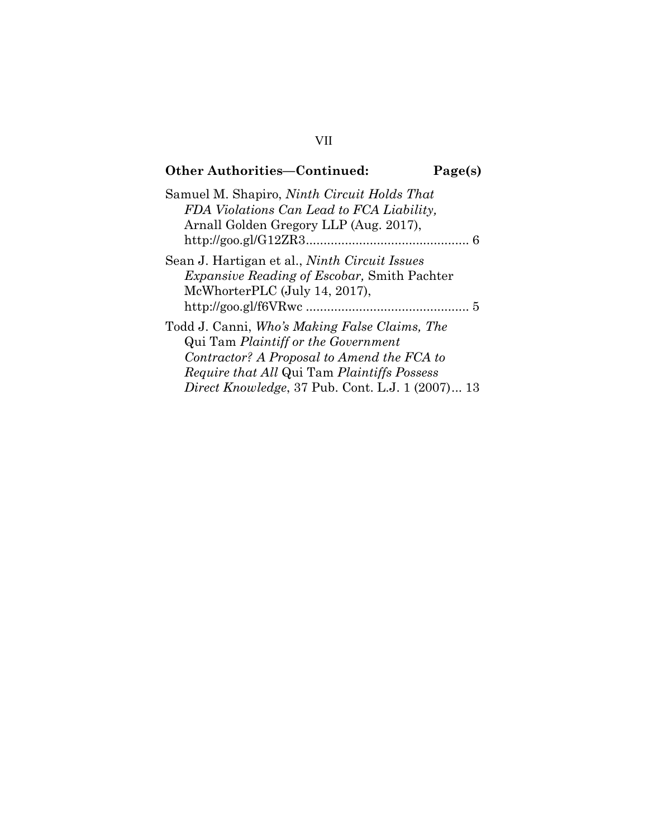## **Other Authorities—Continued: Page(s)** Samuel M. Shapiro, *Ninth Circuit Holds That FDA Violations Can Lead to FCA Liability,* Arnall Golden Gregory LLP (Aug. 2017), http://goo.gl/G12ZR3 .............................................. 6 Sean J. Hartigan et al., *Ninth Circuit Issues Expansive Reading of Escobar,* Smith Pachter McWhorterPLC (July 14, 2017), http://goo.gl/f6VRwc .............................................. 5 Todd J. Canni, *Who's Making False Claims, The*  Qui Tam *Plaintiff or the Government Contractor? A Proposal to Amend the FCA to Require that All* Qui Tam *Plaintiffs Possess Direct Knowledge*, 37 Pub. Cont. L.J. 1 (2007) ... 13

### VII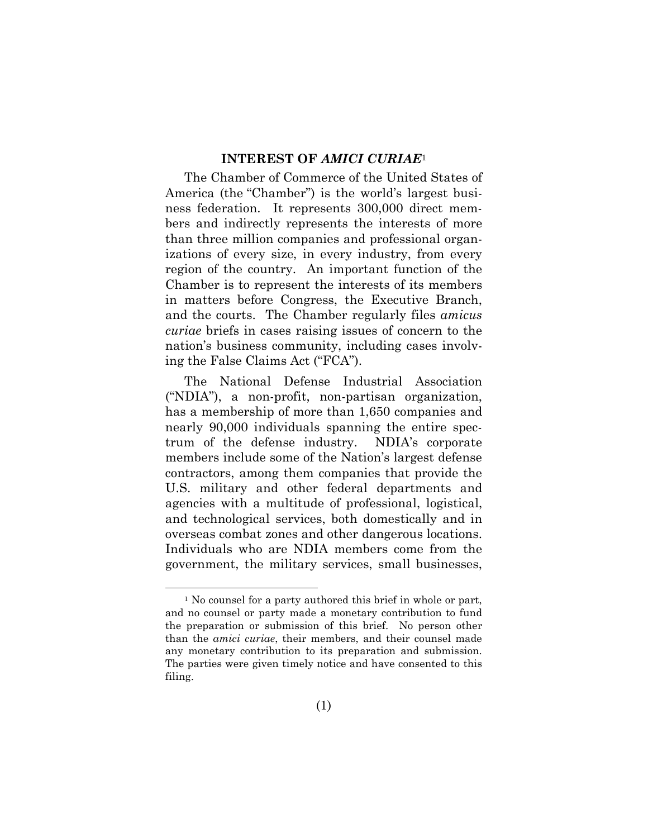### **INTEREST OF** *AMICI CURIAE*<sup>1</sup>

The Chamber of Commerce of the United States of America (the "Chamber") is the world's largest business federation. It represents 300,000 direct members and indirectly represents the interests of more than three million companies and professional organizations of every size, in every industry, from every region of the country. An important function of the Chamber is to represent the interests of its members in matters before Congress, the Executive Branch, and the courts. The Chamber regularly files *amicus curiae* briefs in cases raising issues of concern to the nation's business community, including cases involving the False Claims Act ("FCA").

The National Defense Industrial Association ("NDIA"), a non-profit, non-partisan organization, has a membership of more than 1,650 companies and nearly 90,000 individuals spanning the entire spectrum of the defense industry. NDIA's corporate members include some of the Nation's largest defense contractors, among them companies that provide the U.S. military and other federal departments and agencies with a multitude of professional, logistical, and technological services, both domestically and in overseas combat zones and other dangerous locations. Individuals who are NDIA members come from the government, the military services, small businesses,

<sup>&</sup>lt;sup>1</sup> No counsel for a party authored this brief in whole or part, and no counsel or party made a monetary contribution to fund the preparation or submission of this brief. No person other than the *amici curiae*, their members, and their counsel made any monetary contribution to its preparation and submission. The parties were given timely notice and have consented to this filing.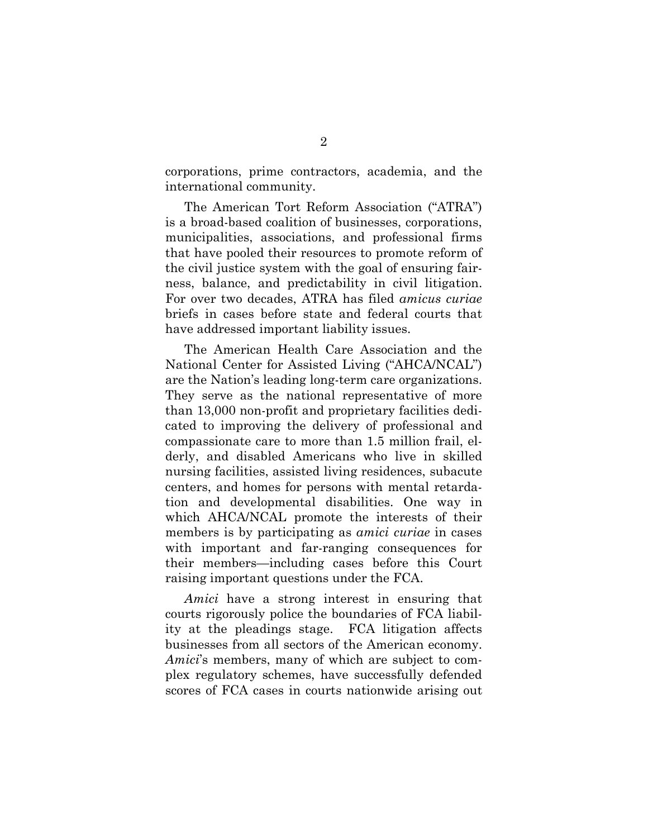corporations, prime contractors, academia, and the international community.

The American Tort Reform Association ("ATRA") is a broad-based coalition of businesses, corporations, municipalities, associations, and professional firms that have pooled their resources to promote reform of the civil justice system with the goal of ensuring fairness, balance, and predictability in civil litigation. For over two decades, ATRA has filed *amicus curiae* briefs in cases before state and federal courts that have addressed important liability issues.

The American Health Care Association and the National Center for Assisted Living ("AHCA/NCAL") are the Nation's leading long-term care organizations. They serve as the national representative of more than 13,000 non-profit and proprietary facilities dedicated to improving the delivery of professional and compassionate care to more than 1.5 million frail, elderly, and disabled Americans who live in skilled nursing facilities, assisted living residences, subacute centers, and homes for persons with mental retardation and developmental disabilities. One way in which AHCA/NCAL promote the interests of their members is by participating as *amici curiae* in cases with important and far-ranging consequences for their members—including cases before this Court raising important questions under the FCA.

*Amici* have a strong interest in ensuring that courts rigorously police the boundaries of FCA liability at the pleadings stage. FCA litigation affects businesses from all sectors of the American economy. *Amici*'s members, many of which are subject to complex regulatory schemes, have successfully defended scores of FCA cases in courts nationwide arising out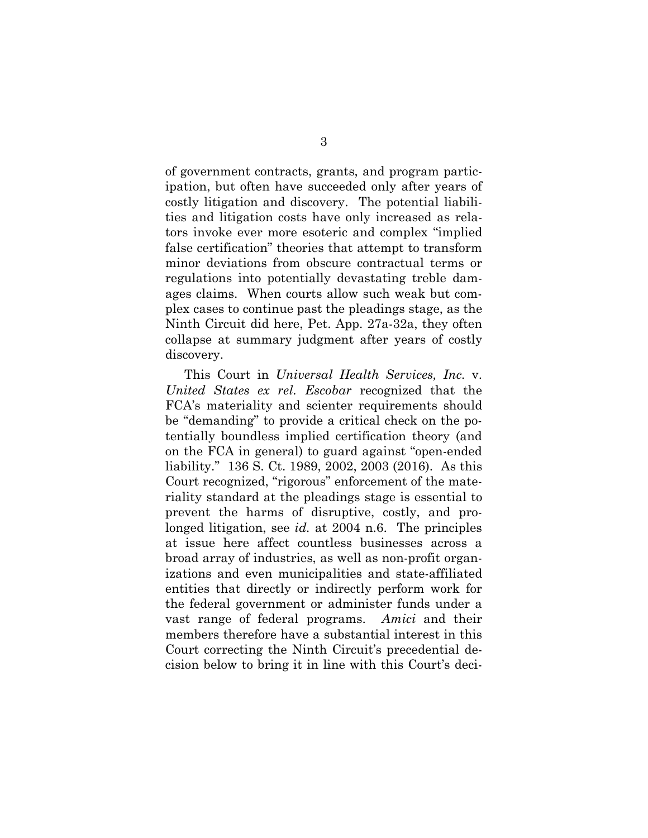of government contracts, grants, and program participation, but often have succeeded only after years of costly litigation and discovery. The potential liabilities and litigation costs have only increased as relators invoke ever more esoteric and complex "implied false certification" theories that attempt to transform minor deviations from obscure contractual terms or regulations into potentially devastating treble damages claims. When courts allow such weak but complex cases to continue past the pleadings stage, as the Ninth Circuit did here, Pet. App. 27a-32a, they often collapse at summary judgment after years of costly discovery.

This Court in *Universal Health Services, Inc.* v. *United States ex rel. Escobar* recognized that the FCA's materiality and scienter requirements should be "demanding" to provide a critical check on the potentially boundless implied certification theory (and on the FCA in general) to guard against "open-ended liability." 136 S. Ct. 1989, 2002, 2003 (2016). As this Court recognized, "rigorous" enforcement of the materiality standard at the pleadings stage is essential to prevent the harms of disruptive, costly, and prolonged litigation, see *id.* at 2004 n.6. The principles at issue here affect countless businesses across a broad array of industries, as well as non-profit organizations and even municipalities and state-affiliated entities that directly or indirectly perform work for the federal government or administer funds under a vast range of federal programs. *Amici* and their members therefore have a substantial interest in this Court correcting the Ninth Circuit's precedential decision below to bring it in line with this Court's deci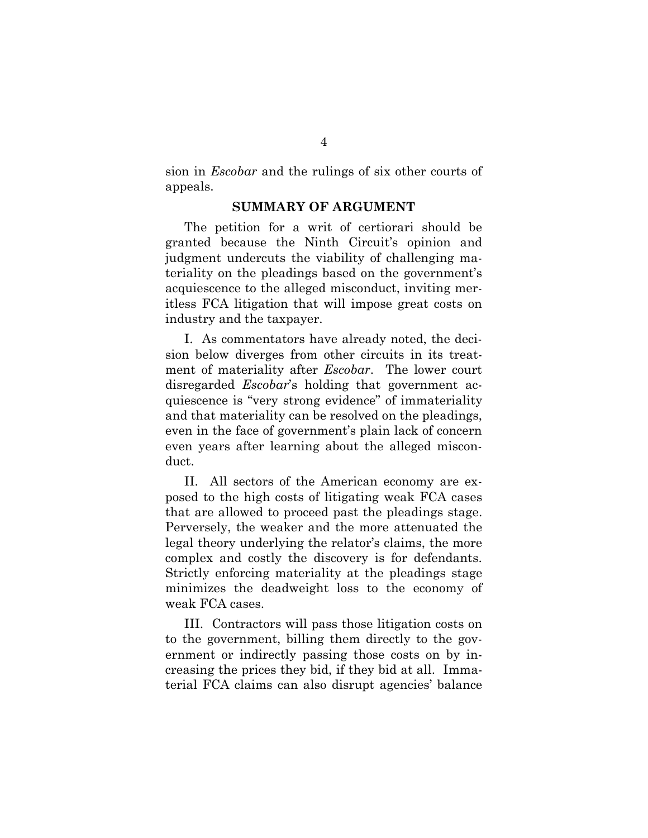sion in *Escobar* and the rulings of six other courts of appeals.

#### **SUMMARY OF ARGUMENT**

The petition for a writ of certiorari should be granted because the Ninth Circuit's opinion and judgment undercuts the viability of challenging materiality on the pleadings based on the government's acquiescence to the alleged misconduct, inviting meritless FCA litigation that will impose great costs on industry and the taxpayer.

I. As commentators have already noted, the decision below diverges from other circuits in its treatment of materiality after *Escobar*. The lower court disregarded *Escobar*'s holding that government acquiescence is "very strong evidence" of immateriality and that materiality can be resolved on the pleadings, even in the face of government's plain lack of concern even years after learning about the alleged misconduct.

II. All sectors of the American economy are exposed to the high costs of litigating weak FCA cases that are allowed to proceed past the pleadings stage. Perversely, the weaker and the more attenuated the legal theory underlying the relator's claims, the more complex and costly the discovery is for defendants. Strictly enforcing materiality at the pleadings stage minimizes the deadweight loss to the economy of weak FCA cases.

III. Contractors will pass those litigation costs on to the government, billing them directly to the government or indirectly passing those costs on by increasing the prices they bid, if they bid at all. Immaterial FCA claims can also disrupt agencies' balance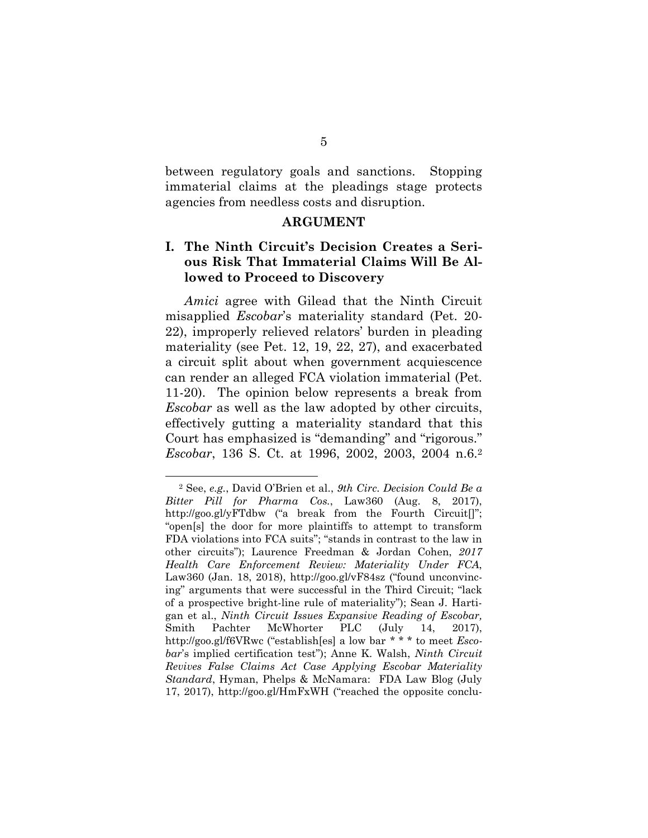between regulatory goals and sanctions. Stopping immaterial claims at the pleadings stage protects agencies from needless costs and disruption.

#### **ARGUMENT**

## **I. The Ninth Circuit's Decision Creates a Serious Risk That Immaterial Claims Will Be Allowed to Proceed to Discovery**

*Amici* agree with Gilead that the Ninth Circuit misapplied *Escobar*'s materiality standard (Pet. 20- 22), improperly relieved relators' burden in pleading materiality (see Pet. 12, 19, 22, 27), and exacerbated a circuit split about when government acquiescence can render an alleged FCA violation immaterial (Pet. 11-20). The opinion below represents a break from *Escobar* as well as the law adopted by other circuits, effectively gutting a materiality standard that this Court has emphasized is "demanding" and "rigorous." *Escobar*, 136 S. Ct. at 1996, 2002, 2003, 2004 n.6.<sup>2</sup>

<sup>2</sup> See, *e.g.*, David O'Brien et al., *9th Circ. Decision Could Be a Bitter Pill for Pharma Cos.*, Law360 (Aug. 8, 2017), http://goo.gl/yFTdbw ("a break from the Fourth Circuit... "open[s] the door for more plaintiffs to attempt to transform FDA violations into FCA suits"; "stands in contrast to the law in other circuits"); Laurence Freedman & Jordan Cohen, *2017 Health Care Enforcement Review: Materiality Under FCA*, Law360 (Jan. 18, 2018), http://goo.gl/vF84sz ("found unconvincing" arguments that were successful in the Third Circuit; "lack of a prospective bright-line rule of materiality"); Sean J. Hartigan et al., *Ninth Circuit Issues Expansive Reading of Escobar,* Smith Pachter McWhorter PLC (July 14, 2017), http://goo.gl/f6VRwc ("establish[es] a low bar \* \* \* to meet *Escobar*'s implied certification test"); Anne K. Walsh, *Ninth Circuit Revives False Claims Act Case Applying Escobar Materiality Standard*, Hyman, Phelps & McNamara: FDA Law Blog (July 17, 2017), http://goo.gl/HmFxWH ("reached the opposite conclu-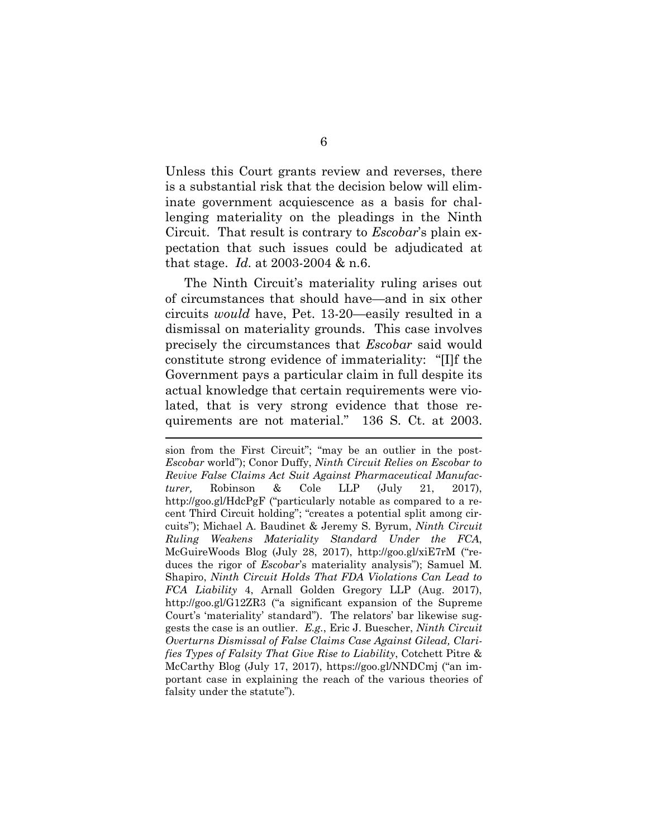Unless this Court grants review and reverses, there is a substantial risk that the decision below will eliminate government acquiescence as a basis for challenging materiality on the pleadings in the Ninth Circuit. That result is contrary to *Escobar*'s plain expectation that such issues could be adjudicated at that stage. *Id.* at 2003-2004 & n.6.

The Ninth Circuit's materiality ruling arises out of circumstances that should have—and in six other circuits *would* have, Pet. 13-20—easily resulted in a dismissal on materiality grounds. This case involves precisely the circumstances that *Escobar* said would constitute strong evidence of immateriality: "[I]f the Government pays a particular claim in full despite its actual knowledge that certain requirements were violated, that is very strong evidence that those requirements are not material." 136 S. Ct. at 2003.

sion from the First Circuit"; "may be an outlier in the post-*Escobar* world"); Conor Duffy, *Ninth Circuit Relies on Escobar to Revive False Claims Act Suit Against Pharmaceutical Manufacturer,* Robinson & Cole LLP (July 21, 2017), http://goo.gl/HdcPgF ("particularly notable as compared to a recent Third Circuit holding"; "creates a potential split among circuits"); Michael A. Baudinet & Jeremy S. Byrum, *Ninth Circuit Ruling Weakens Materiality Standard Under the FCA*, McGuireWoods Blog (July 28, 2017), http://goo.gl/xiE7rM ("reduces the rigor of *Escobar*'s materiality analysis"); Samuel M. Shapiro, *Ninth Circuit Holds That FDA Violations Can Lead to FCA Liability* 4, Arnall Golden Gregory LLP (Aug. 2017), http://goo.gl/G12ZR3 ("a significant expansion of the Supreme Court's 'materiality' standard"). The relators' bar likewise suggests the case is an outlier. *E.g.*, Eric J. Buescher, *Ninth Circuit Overturns Dismissal of False Claims Case Against Gilead, Clarifies Types of Falsity That Give Rise to Liability*, Cotchett Pitre & McCarthy Blog (July 17, 2017), https://goo.gl/NNDCmj ("an important case in explaining the reach of the various theories of falsity under the statute").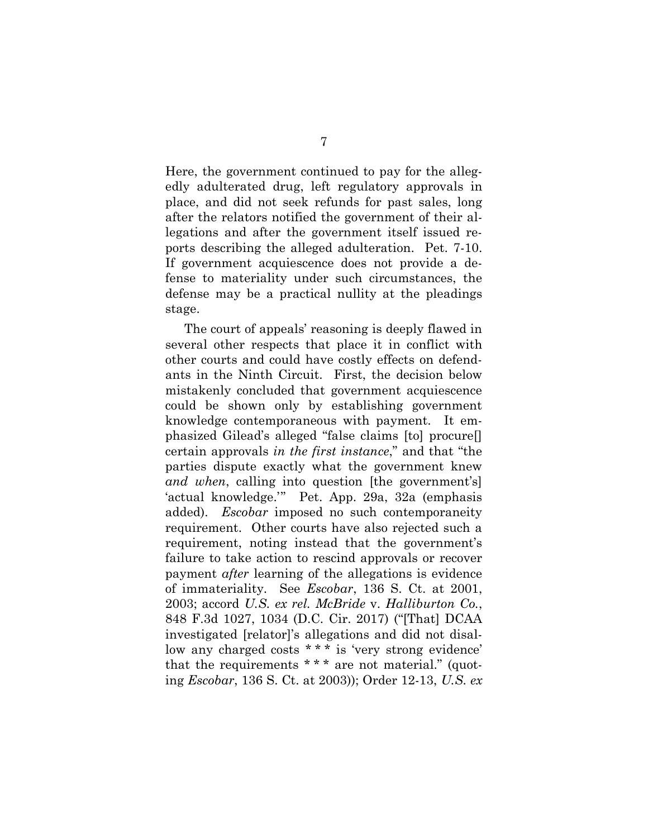Here, the government continued to pay for the allegedly adulterated drug, left regulatory approvals in place, and did not seek refunds for past sales, long after the relators notified the government of their allegations and after the government itself issued reports describing the alleged adulteration. Pet. 7-10. If government acquiescence does not provide a defense to materiality under such circumstances, the defense may be a practical nullity at the pleadings stage.

The court of appeals' reasoning is deeply flawed in several other respects that place it in conflict with other courts and could have costly effects on defendants in the Ninth Circuit. First, the decision below mistakenly concluded that government acquiescence could be shown only by establishing government knowledge contemporaneous with payment. It emphasized Gilead's alleged "false claims [to] procure[] certain approvals *in the first instance*," and that "the parties dispute exactly what the government knew *and when*, calling into question [the government's] 'actual knowledge.'" Pet. App. 29a, 32a (emphasis added). *Escobar* imposed no such contemporaneity requirement. Other courts have also rejected such a requirement, noting instead that the government's failure to take action to rescind approvals or recover payment *after* learning of the allegations is evidence of immateriality. See *Escobar*, 136 S. Ct. at 2001, 2003; accord *U.S. ex rel. McBride* v. *Halliburton Co.*, 848 F.3d 1027, 1034 (D.C. Cir. 2017) ("[That] DCAA investigated [relator]'s allegations and did not disallow any charged costs \* \* \* is 'very strong evidence' that the requirements  $***$  are not material." (quoting *Escobar*, 136 S. Ct. at 2003)); Order 12-13, *U.S. ex*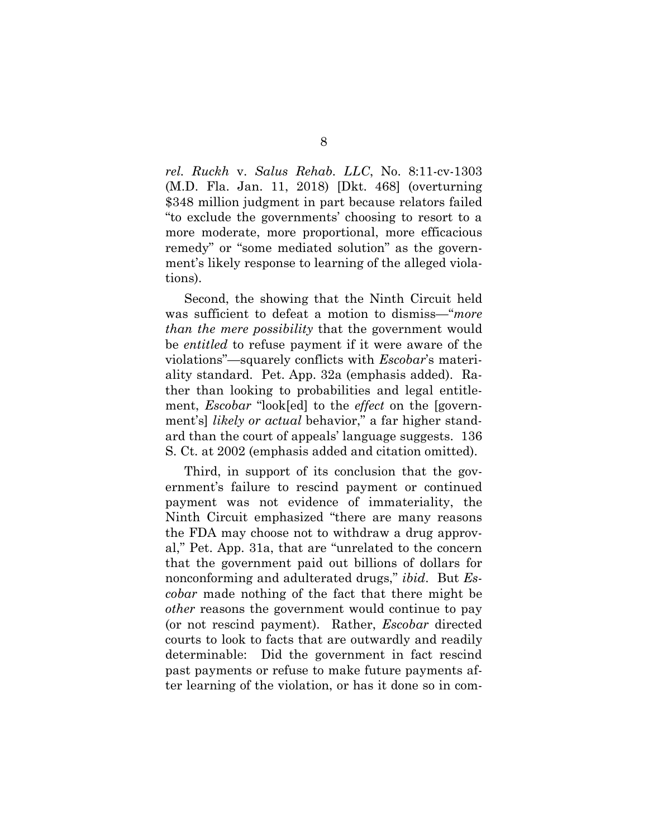*rel. Ruckh* v. *Salus Rehab. LLC*, No. 8:11-cv-1303 (M.D. Fla. Jan. 11, 2018) [Dkt. 468] (overturning \$348 million judgment in part because relators failed "to exclude the governments' choosing to resort to a more moderate, more proportional, more efficacious remedy" or "some mediated solution" as the government's likely response to learning of the alleged violations).

Second, the showing that the Ninth Circuit held was sufficient to defeat a motion to dismiss—"*more than the mere possibility* that the government would be *entitled* to refuse payment if it were aware of the violations"—squarely conflicts with *Escobar*'s materiality standard. Pet. App. 32a (emphasis added). Rather than looking to probabilities and legal entitlement, *Escobar* "look[ed] to the *effect* on the [government's] *likely or actual* behavior," a far higher standard than the court of appeals' language suggests. 136 S. Ct. at 2002 (emphasis added and citation omitted).

Third, in support of its conclusion that the government's failure to rescind payment or continued payment was not evidence of immateriality, the Ninth Circuit emphasized "there are many reasons the FDA may choose not to withdraw a drug approval," Pet. App. 31a, that are "unrelated to the concern that the government paid out billions of dollars for nonconforming and adulterated drugs," *ibid*. But *Escobar* made nothing of the fact that there might be *other* reasons the government would continue to pay (or not rescind payment). Rather, *Escobar* directed courts to look to facts that are outwardly and readily determinable: Did the government in fact rescind past payments or refuse to make future payments after learning of the violation, or has it done so in com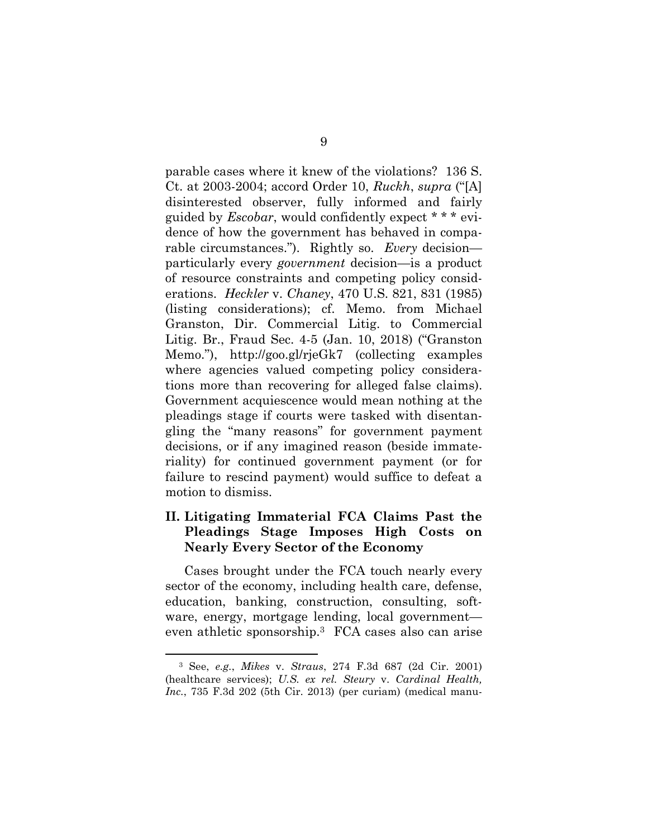parable cases where it knew of the violations? 136 S. Ct. at 2003-2004; accord Order 10, *Ruckh*, *supra* ("[A] disinterested observer, fully informed and fairly guided by *Escobar*, would confidently expect \* \* \* evidence of how the government has behaved in comparable circumstances."). Rightly so. *Every* decision particularly every *government* decision—is a product of resource constraints and competing policy considerations. *Heckler* v. *Chaney*, 470 U.S. 821, 831 (1985) (listing considerations); cf. Memo. from Michael Granston, Dir. Commercial Litig. to Commercial Litig. Br., Fraud Sec. 4-5 (Jan. 10, 2018) ("Granston Memo."), http://goo.gl/rjeGk7 (collecting examples where agencies valued competing policy considerations more than recovering for alleged false claims). Government acquiescence would mean nothing at the pleadings stage if courts were tasked with disentangling the "many reasons" for government payment decisions, or if any imagined reason (beside immateriality) for continued government payment (or for failure to rescind payment) would suffice to defeat a motion to dismiss.

## **II. Litigating Immaterial FCA Claims Past the Pleadings Stage Imposes High Costs on Nearly Every Sector of the Economy**

Cases brought under the FCA touch nearly every sector of the economy, including health care, defense, education, banking, construction, consulting, software, energy, mortgage lending, local government even athletic sponsorship.3 FCA cases also can arise

<sup>3</sup> See, *e.g.*, *Mikes* v. *Straus*, 274 F.3d 687 (2d Cir. 2001) (healthcare services); *U.S. ex rel. Steury* v. *Cardinal Health, Inc.*, 735 F.3d 202 (5th Cir. 2013) (per curiam) (medical manu-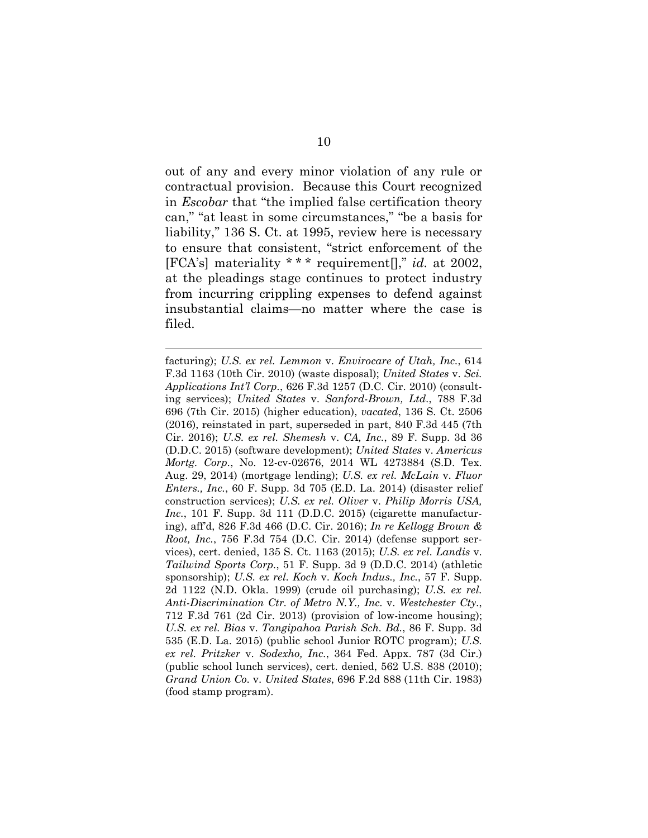out of any and every minor violation of any rule or contractual provision. Because this Court recognized in *Escobar* that "the implied false certification theory can," "at least in some circumstances," "be a basis for liability," 136 S. Ct. at 1995, review here is necessary to ensure that consistent, "strict enforcement of the [FCA's] materiality \* \* \* requirement[]," *id.* at 2002, at the pleadings stage continues to protect industry from incurring crippling expenses to defend against insubstantial claims—no matter where the case is filed.

facturing); *U.S. ex rel. Lemmon* v. *Envirocare of Utah, Inc.*, 614 F.3d 1163 (10th Cir. 2010) (waste disposal); *United States* v. *Sci. Applications Int'l Corp.*, 626 F.3d 1257 (D.C. Cir. 2010) (consulting services); *United States* v. *Sanford-Brown, Ltd.*, 788 F.3d 696 (7th Cir. 2015) (higher education), *vacated*, 136 S. Ct. 2506 (2016), reinstated in part, superseded in part, 840 F.3d 445 (7th Cir. 2016); *U.S. ex rel. Shemesh* v. *CA, Inc.*, 89 F. Supp. 3d 36 (D.D.C. 2015) (software development); *United States* v. *Americus Mortg. Corp.*, No. 12-cv-02676, 2014 WL 4273884 (S.D. Tex. Aug. 29, 2014) (mortgage lending); *U.S. ex rel. McLain* v. *Fluor Enters., Inc.*, 60 F. Supp. 3d 705 (E.D. La. 2014) (disaster relief construction services); *U.S. ex rel. Oliver* v. *Philip Morris USA, Inc.*, 101 F. Supp. 3d 111 (D.D.C. 2015) (cigarette manufacturing), aff'd, 826 F.3d 466 (D.C. Cir. 2016); *In re Kellogg Brown & Root, Inc.*, 756 F.3d 754 (D.C. Cir. 2014) (defense support services), cert. denied, 135 S. Ct. 1163 (2015); *U.S. ex rel. Landis* v. *Tailwind Sports Corp.*, 51 F. Supp. 3d 9 (D.D.C. 2014) (athletic sponsorship); *U.S. ex rel. Koch* v. *Koch Indus., Inc.*, 57 F. Supp. 2d 1122 (N.D. Okla. 1999) (crude oil purchasing); *U.S. ex rel. Anti-Discrimination Ctr. of Metro N.Y., Inc.* v. *Westchester Cty.*, 712 F.3d 761 (2d Cir. 2013) (provision of low-income housing); *U.S. ex rel. Bias* v. *Tangipahoa Parish Sch. Bd.*, 86 F. Supp. 3d 535 (E.D. La. 2015) (public school Junior ROTC program); *U.S. ex rel. Pritzker* v. *Sodexho, Inc.*, 364 Fed. Appx. 787 (3d Cir.) (public school lunch services), cert. denied, 562 U.S. 838 (2010); *Grand Union Co.* v. *United States*, 696 F.2d 888 (11th Cir. 1983) (food stamp program).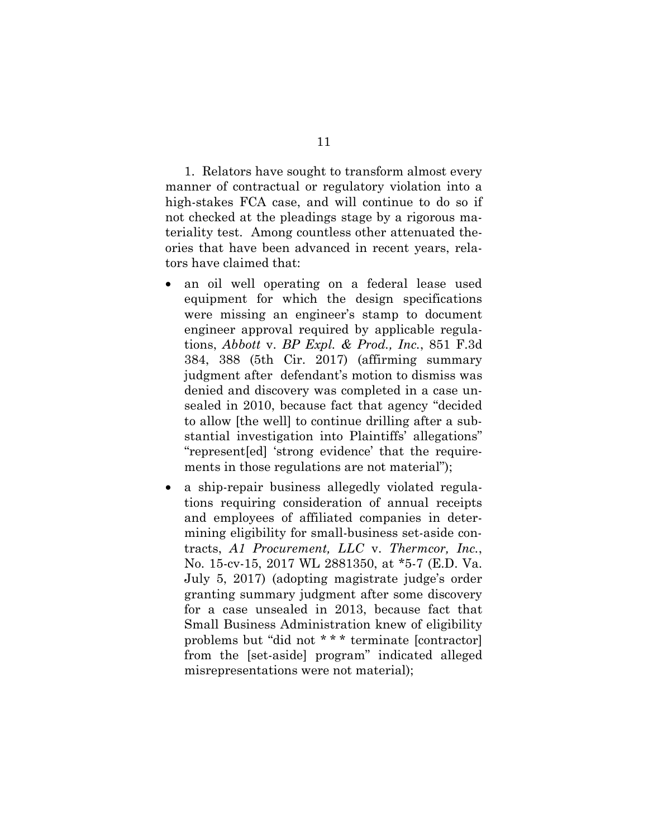1. Relators have sought to transform almost every manner of contractual or regulatory violation into a high-stakes FCA case, and will continue to do so if not checked at the pleadings stage by a rigorous materiality test. Among countless other attenuated theories that have been advanced in recent years, relators have claimed that:

- an oil well operating on a federal lease used equipment for which the design specifications were missing an engineer's stamp to document engineer approval required by applicable regulations, *Abbott* v. *BP Expl. & Prod., Inc.*, 851 F.3d 384, 388 (5th Cir. 2017) (affirming summary judgment after defendant's motion to dismiss was denied and discovery was completed in a case unsealed in 2010, because fact that agency "decided to allow [the well] to continue drilling after a substantial investigation into Plaintiffs' allegations" "represent[ed] 'strong evidence' that the requirements in those regulations are not material");
- a ship-repair business allegedly violated regulations requiring consideration of annual receipts and employees of affiliated companies in determining eligibility for small-business set-aside contracts, *A1 Procurement, LLC* v. *Thermcor, Inc.*, No. 15-cv-15, 2017 WL 2881350, at \*5-7 (E.D. Va. July 5, 2017) (adopting magistrate judge's order granting summary judgment after some discovery for a case unsealed in 2013, because fact that Small Business Administration knew of eligibility problems but "did not \* \* \* terminate [contractor] from the [set-aside] program" indicated alleged misrepresentations were not material);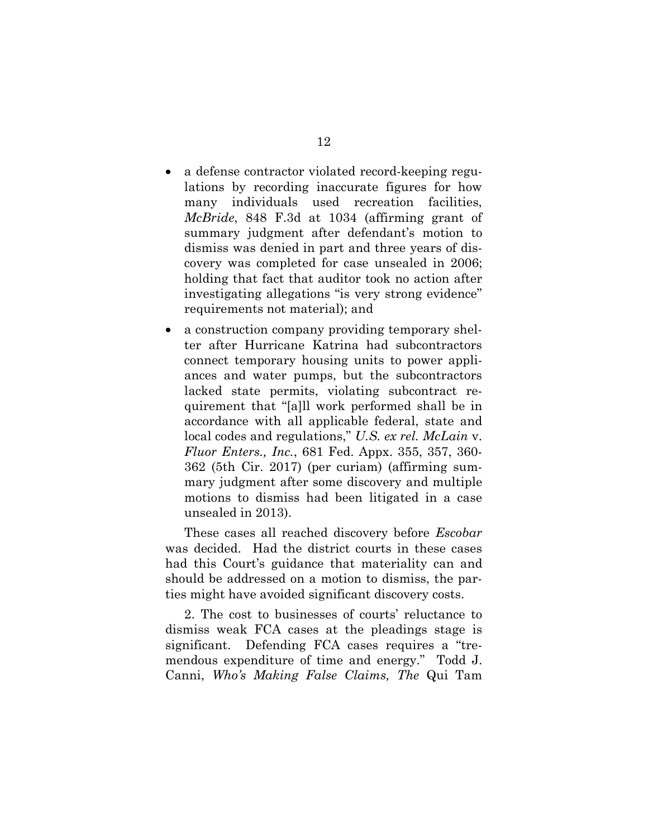- a defense contractor violated record-keeping regulations by recording inaccurate figures for how many individuals used recreation facilities, *McBride*, 848 F.3d at 1034 (affirming grant of summary judgment after defendant's motion to dismiss was denied in part and three years of discovery was completed for case unsealed in 2006; holding that fact that auditor took no action after investigating allegations "is very strong evidence" requirements not material); and
- a construction company providing temporary shelter after Hurricane Katrina had subcontractors connect temporary housing units to power appliances and water pumps, but the subcontractors lacked state permits, violating subcontract requirement that "[a]ll work performed shall be in accordance with all applicable federal, state and local codes and regulations," *U.S. ex rel. McLain* v. *Fluor Enters., Inc.*, 681 Fed. Appx. 355, 357, 360- 362 (5th Cir. 2017) (per curiam) (affirming summary judgment after some discovery and multiple motions to dismiss had been litigated in a case unsealed in 2013).

These cases all reached discovery before *Escobar* was decided. Had the district courts in these cases had this Court's guidance that materiality can and should be addressed on a motion to dismiss, the parties might have avoided significant discovery costs.

2. The cost to businesses of courts' reluctance to dismiss weak FCA cases at the pleadings stage is significant. Defending FCA cases requires a "tremendous expenditure of time and energy." Todd J. Canni, *Who's Making False Claims, The* Qui Tam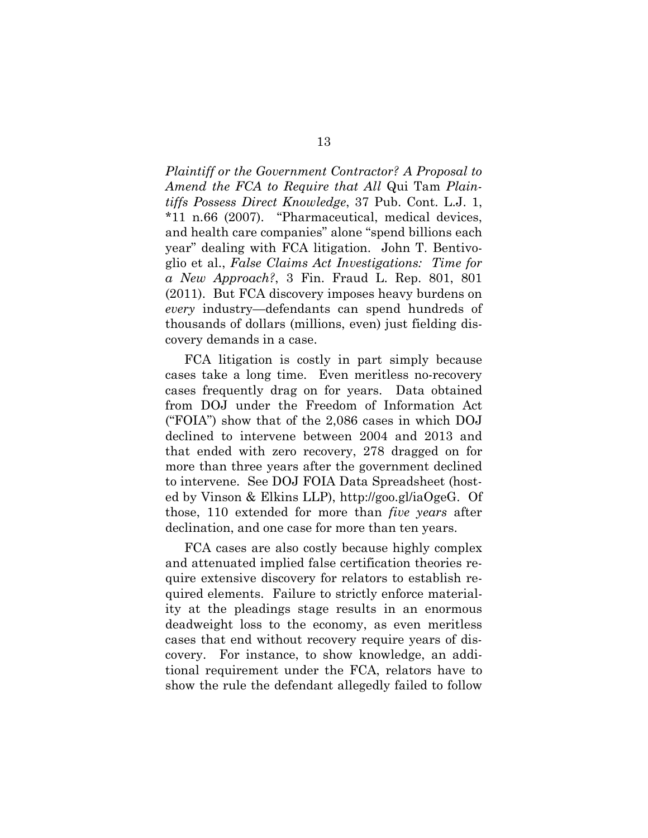*Plaintiff or the Government Contractor? A Proposal to Amend the FCA to Require that All* Qui Tam *Plaintiffs Possess Direct Knowledge*, 37 Pub. Cont. L.J. 1, \*11 n.66 (2007). "Pharmaceutical, medical devices, and health care companies" alone "spend billions each year" dealing with FCA litigation. John T. Bentivoglio et al., *False Claims Act Investigations: Time for a New Approach?*, 3 Fin. Fraud L. Rep. 801, 801 (2011). But FCA discovery imposes heavy burdens on *every* industry—defendants can spend hundreds of thousands of dollars (millions, even) just fielding discovery demands in a case.

FCA litigation is costly in part simply because cases take a long time. Even meritless no-recovery cases frequently drag on for years. Data obtained from DOJ under the Freedom of Information Act ("FOIA") show that of the 2,086 cases in which DOJ declined to intervene between 2004 and 2013 and that ended with zero recovery, 278 dragged on for more than three years after the government declined to intervene. See DOJ FOIA Data Spreadsheet (hosted by Vinson & Elkins LLP), http://goo.gl/iaOgeG. Of those, 110 extended for more than *five years* after declination, and one case for more than ten years.

FCA cases are also costly because highly complex and attenuated implied false certification theories require extensive discovery for relators to establish required elements. Failure to strictly enforce materiality at the pleadings stage results in an enormous deadweight loss to the economy, as even meritless cases that end without recovery require years of discovery. For instance, to show knowledge, an additional requirement under the FCA, relators have to show the rule the defendant allegedly failed to follow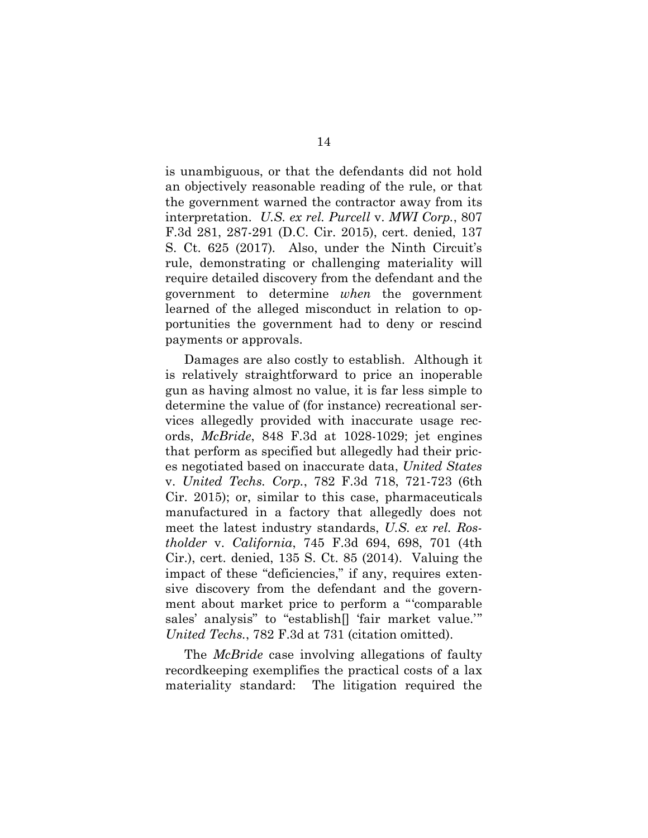is unambiguous, or that the defendants did not hold an objectively reasonable reading of the rule, or that the government warned the contractor away from its interpretation. *U.S. ex rel. Purcell* v. *MWI Corp.*, 807 F.3d 281, 287-291 (D.C. Cir. 2015), cert. denied, 137 S. Ct. 625 (2017)*.* Also, under the Ninth Circuit's rule, demonstrating or challenging materiality will require detailed discovery from the defendant and the government to determine *when* the government learned of the alleged misconduct in relation to opportunities the government had to deny or rescind payments or approvals.

Damages are also costly to establish. Although it is relatively straightforward to price an inoperable gun as having almost no value, it is far less simple to determine the value of (for instance) recreational services allegedly provided with inaccurate usage records, *McBride*, 848 F.3d at 1028-1029; jet engines that perform as specified but allegedly had their prices negotiated based on inaccurate data, *United States*  v. *United Techs. Corp.*, 782 F.3d 718, 721-723 (6th Cir. 2015); or, similar to this case, pharmaceuticals manufactured in a factory that allegedly does not meet the latest industry standards, *U.S. ex rel. Rostholder* v. *California*, 745 F.3d 694, 698, 701 (4th Cir.), cert. denied, 135 S. Ct. 85 (2014). Valuing the impact of these "deficiencies," if any, requires extensive discovery from the defendant and the government about market price to perform a "'comparable sales' analysis" to "establish[] 'fair market value.'" *United Techs.*, 782 F.3d at 731 (citation omitted).

The *McBride* case involving allegations of faulty recordkeeping exemplifies the practical costs of a lax materiality standard: The litigation required the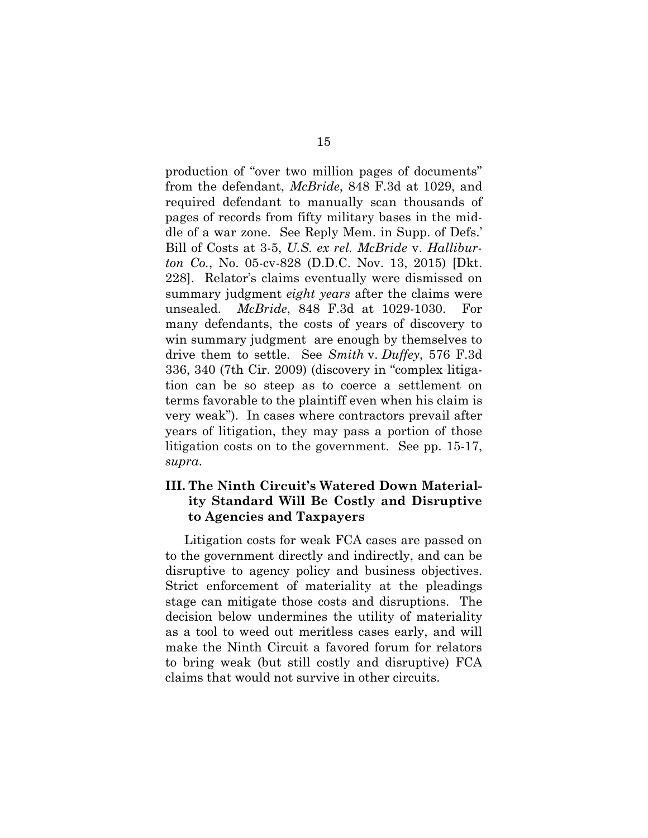production of "over two million pages of documents" from the defendant, *McBride*, 848 F.3d at 1029, and required defendant to manually scan thousands of pages of records from fifty military bases in the middle of a war zone. See Reply Mem. in Supp. of Defs.' Bill of Costs at 3-5, *U.S. ex rel. McBride* v. *Halliburton Co.*, No. 05-cv-828 (D.D.C. Nov. 13, 2015) [Dkt. 228]. Relator's claims eventually were dismissed on summary judgment *eight years* after the claims were unsealed. *McBride*, 848 F.3d at 1029-1030. For many defendants, the costs of years of discovery to win summary judgment are enough by themselves to drive them to settle. See *Smith* v. *Duffey*, 576 F.3d 336, 340 (7th Cir. 2009) (discovery in "complex litigation can be so steep as to coerce a settlement on terms favorable to the plaintiff even when his claim is very weak"). In cases where contractors prevail after years of litigation, they may pass a portion of those litigation costs on to the government. See pp. 15-17, *supra*.

## **III. The Ninth Circuit's Watered Down Materiality Standard Will Be Costly and Disruptive to Agencies and Taxpayers**

Litigation costs for weak FCA cases are passed on to the government directly and indirectly, and can be disruptive to agency policy and business objectives. Strict enforcement of materiality at the pleadings stage can mitigate those costs and disruptions. The decision below undermines the utility of materiality as a tool to weed out meritless cases early, and will make the Ninth Circuit a favored forum for relators to bring weak (but still costly and disruptive) FCA claims that would not survive in other circuits.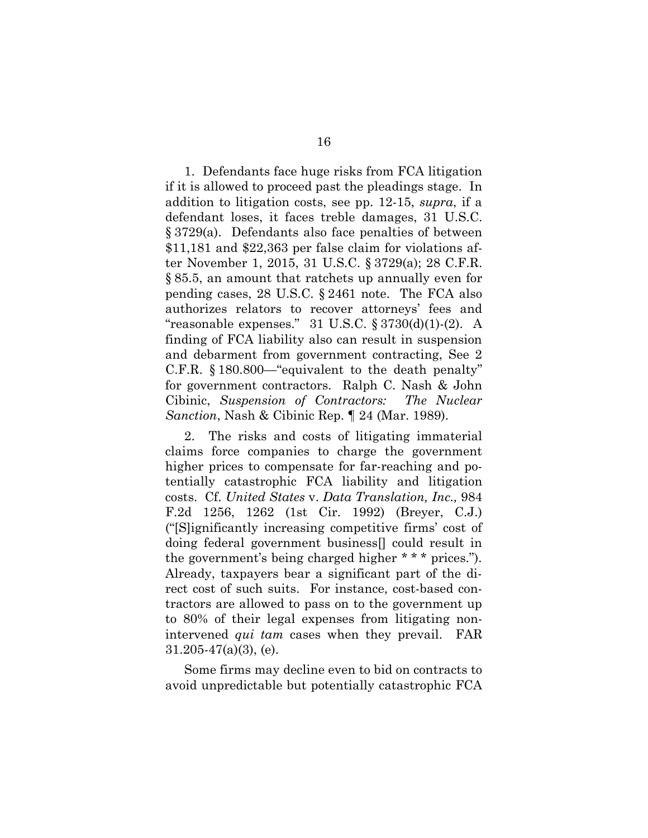1. Defendants face huge risks from FCA litigation if it is allowed to proceed past the pleadings stage. In addition to litigation costs, see pp. 12-15, *supra*, if a defendant loses, it faces treble damages, 31 U.S.C. § 3729(a). Defendants also face penalties of between \$11,181 and \$22,363 per false claim for violations after November 1, 2015, 31 U.S.C. § 3729(a); 28 C.F.R. § 85.5, an amount that ratchets up annually even for pending cases, 28 U.S.C. § 2461 note. The FCA also authorizes relators to recover attorneys' fees and "reasonable expenses." 31 U.S.C.  $\S 3730(d)(1)-(2)$ . A finding of FCA liability also can result in suspension and debarment from government contracting, See 2 C.F.R. § 180.800—"equivalent to the death penalty" for government contractors. Ralph C. Nash & John Cibinic, *Suspension of Contractors: The Nuclear Sanction*, Nash & Cibinic Rep. ¶ 24 (Mar. 1989).

2. The risks and costs of litigating immaterial claims force companies to charge the government higher prices to compensate for far-reaching and potentially catastrophic FCA liability and litigation costs. Cf. *United States* v. *Data Translation, Inc.,* 984 F.2d 1256, 1262 (1st Cir. 1992) (Breyer, C.J.) ("[S]ignificantly increasing competitive firms' cost of doing federal government business[] could result in the government's being charged higher \* \* \* prices."). Already, taxpayers bear a significant part of the direct cost of such suits. For instance, cost-based contractors are allowed to pass on to the government up to 80% of their legal expenses from litigating nonintervened *qui tam* cases when they prevail. FAR  $31.205 - 47(a)(3)$ , (e).

Some firms may decline even to bid on contracts to avoid unpredictable but potentially catastrophic FCA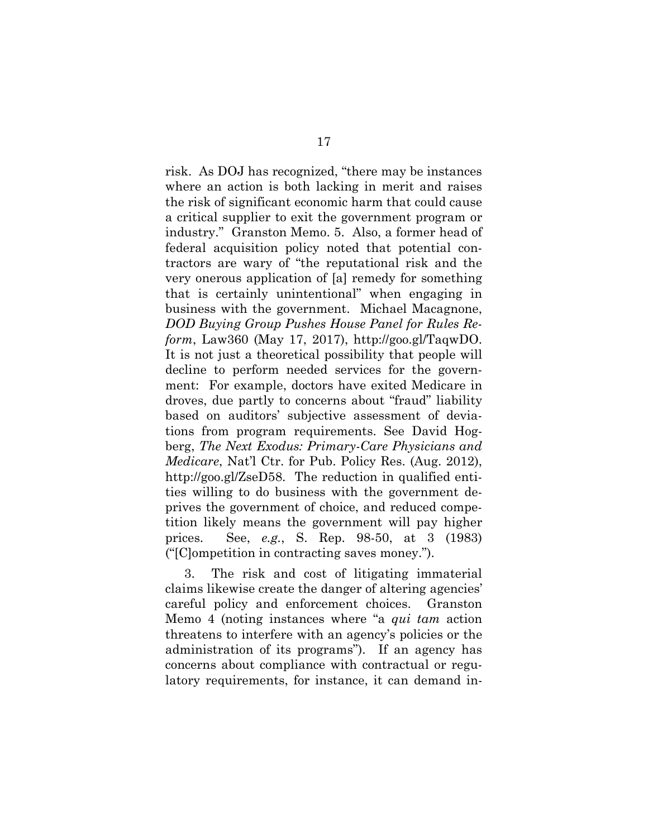risk. As DOJ has recognized, "there may be instances where an action is both lacking in merit and raises the risk of significant economic harm that could cause a critical supplier to exit the government program or industry." Granston Memo. 5. Also, a former head of federal acquisition policy noted that potential contractors are wary of "the reputational risk and the very onerous application of [a] remedy for something that is certainly unintentional" when engaging in business with the government. Michael Macagnone, *DOD Buying Group Pushes House Panel for Rules Reform*, Law360 (May 17, 2017), http://goo.gl/TaqwDO. It is not just a theoretical possibility that people will decline to perform needed services for the government: For example, doctors have exited Medicare in droves, due partly to concerns about "fraud" liability based on auditors' subjective assessment of deviations from program requirements. See David Hogberg, *The Next Exodus: Primary-Care Physicians and Medicare*, Nat'l Ctr. for Pub. Policy Res. (Aug. 2012), http://goo.gl/ZseD58. The reduction in qualified entities willing to do business with the government deprives the government of choice, and reduced competition likely means the government will pay higher prices. See, *e.g.*, S. Rep. 98-50, at 3 (1983) ("[C]ompetition in contracting saves money.").

3. The risk and cost of litigating immaterial claims likewise create the danger of altering agencies' careful policy and enforcement choices. Granston Memo 4 (noting instances where "a *qui tam* action threatens to interfere with an agency's policies or the administration of its programs"). If an agency has concerns about compliance with contractual or regulatory requirements, for instance, it can demand in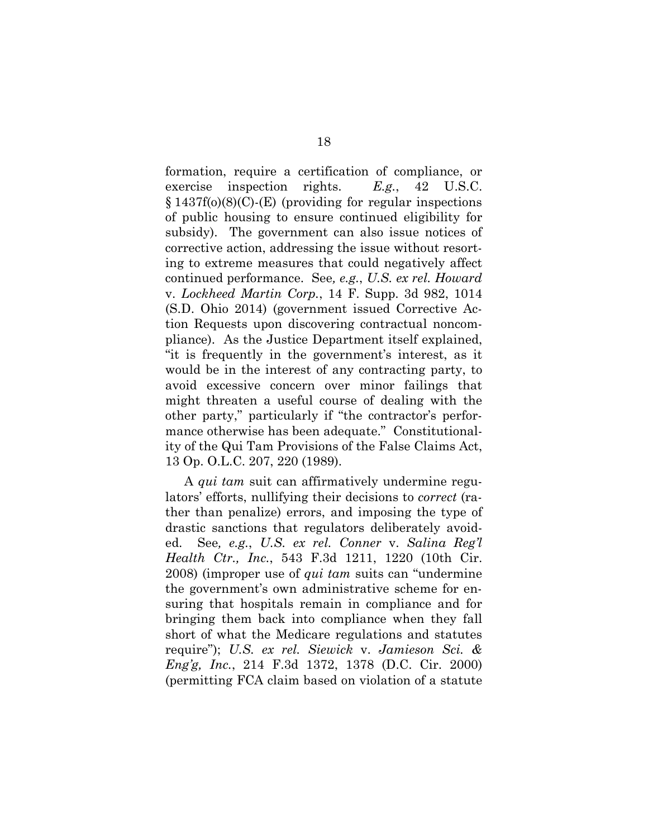formation, require a certification of compliance, or exercise inspection rights. *E.g.*, 42 U.S.C.  $§ 1437f(0)(8)(C)$ -(E) (providing for regular inspections of public housing to ensure continued eligibility for subsidy). The government can also issue notices of corrective action, addressing the issue without resorting to extreme measures that could negatively affect continued performance. See*, e.g.*, *U.S. ex rel. Howard*  v. *Lockheed Martin Corp.*, 14 F. Supp. 3d 982, 1014 (S.D. Ohio 2014) (government issued Corrective Action Requests upon discovering contractual noncompliance). As the Justice Department itself explained, "it is frequently in the government's interest, as it would be in the interest of any contracting party, to avoid excessive concern over minor failings that might threaten a useful course of dealing with the other party," particularly if "the contractor's performance otherwise has been adequate." Constitutionality of the Qui Tam Provisions of the False Claims Act, 13 Op. O.L.C. 207, 220 (1989).

A *qui tam* suit can affirmatively undermine regulators' efforts, nullifying their decisions to *correct* (rather than penalize) errors, and imposing the type of drastic sanctions that regulators deliberately avoided. See*, e.g.*, *U.S. ex rel. Conner* v. *Salina Reg'l Health Ctr., Inc.*, 543 F.3d 1211, 1220 (10th Cir. 2008) (improper use of *qui tam* suits can "undermine the government's own administrative scheme for ensuring that hospitals remain in compliance and for bringing them back into compliance when they fall short of what the Medicare regulations and statutes require"); *U.S. ex rel. Siewick* v. *Jamieson Sci. & Eng'g, Inc.*, 214 F.3d 1372, 1378 (D.C. Cir. 2000) (permitting FCA claim based on violation of a statute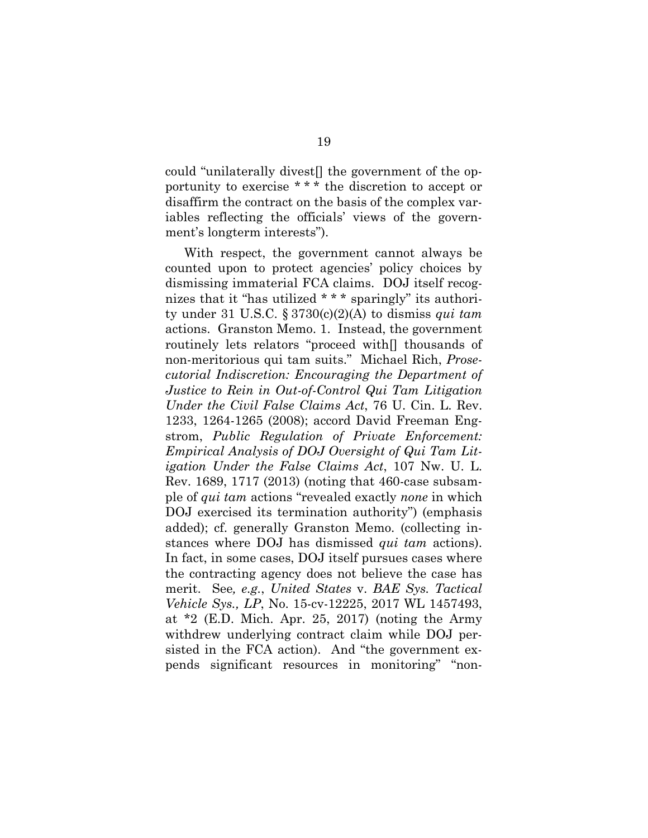could "unilaterally divest[] the government of the opportunity to exercise \* \* \* the discretion to accept or disaffirm the contract on the basis of the complex variables reflecting the officials' views of the government's longterm interests").

With respect, the government cannot always be counted upon to protect agencies' policy choices by dismissing immaterial FCA claims. DOJ itself recognizes that it "has utilized \* \* \* sparingly" its authority under 31 U.S.C. § 3730(c)(2)(A) to dismiss *qui tam* actions. Granston Memo. 1. Instead, the government routinely lets relators "proceed with[] thousands of non-meritorious qui tam suits." Michael Rich, *Prosecutorial Indiscretion: Encouraging the Department of Justice to Rein in Out-of-Control Qui Tam Litigation Under the Civil False Claims Act*, 76 U. Cin. L. Rev. 1233, 1264-1265 (2008); accord David Freeman Engstrom, *Public Regulation of Private Enforcement: Empirical Analysis of DOJ Oversight of Qui Tam Litigation Under the False Claims Act*, 107 Nw. U. L. Rev. 1689, 1717 (2013) (noting that 460-case subsample of *qui tam* actions "revealed exactly *none* in which DOJ exercised its termination authority") (emphasis added); cf. generally Granston Memo. (collecting instances where DOJ has dismissed *qui tam* actions). In fact, in some cases, DOJ itself pursues cases where the contracting agency does not believe the case has merit. See*, e.g.*, *United States* v. *BAE Sys. Tactical Vehicle Sys., LP*, No. 15-cv-12225, 2017 WL 1457493, at \*2 (E.D. Mich. Apr. 25, 2017) (noting the Army withdrew underlying contract claim while DOJ persisted in the FCA action). And "the government expends significant resources in monitoring" "non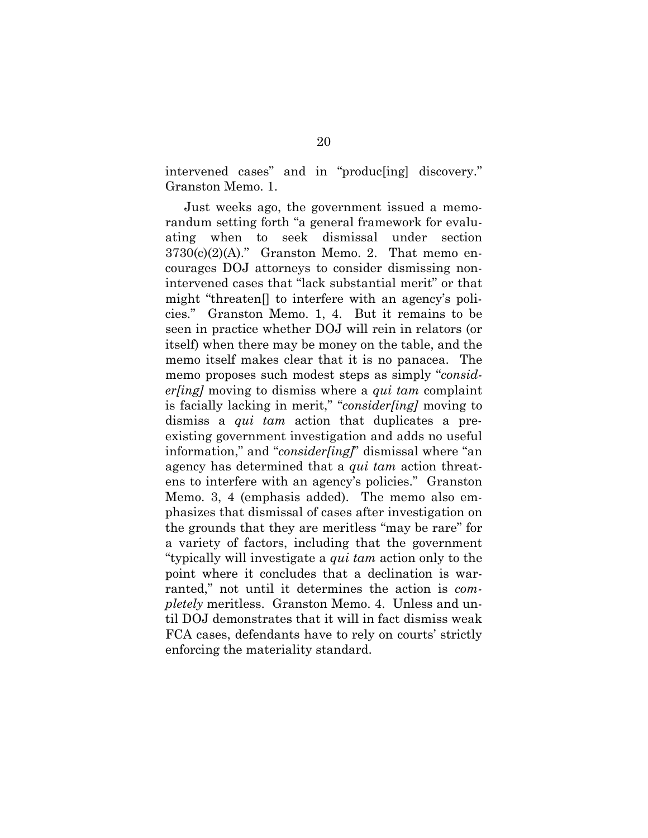intervened cases" and in "produc[ing] discovery." Granston Memo. 1.

Just weeks ago, the government issued a memorandum setting forth "a general framework for evaluating when to seek dismissal under section  $3730(c)(2)(A)$ ." Granston Memo. 2. That memo encourages DOJ attorneys to consider dismissing nonintervened cases that "lack substantial merit" or that might "threaten[] to interfere with an agency's policies." Granston Memo. 1, 4. But it remains to be seen in practice whether DOJ will rein in relators (or itself) when there may be money on the table, and the memo itself makes clear that it is no panacea. The memo proposes such modest steps as simply "*consider[ing]* moving to dismiss where a *qui tam* complaint is facially lacking in merit," "*consider[ing]* moving to dismiss a *qui tam* action that duplicates a preexisting government investigation and adds no useful information," and "*consider[ing]*" dismissal where "an agency has determined that a *qui tam* action threatens to interfere with an agency's policies." Granston Memo. 3, 4 (emphasis added). The memo also emphasizes that dismissal of cases after investigation on the grounds that they are meritless "may be rare" for a variety of factors, including that the government "typically will investigate a *qui tam* action only to the point where it concludes that a declination is warranted," not until it determines the action is *completely* meritless. Granston Memo. 4. Unless and until DOJ demonstrates that it will in fact dismiss weak FCA cases, defendants have to rely on courts' strictly enforcing the materiality standard.